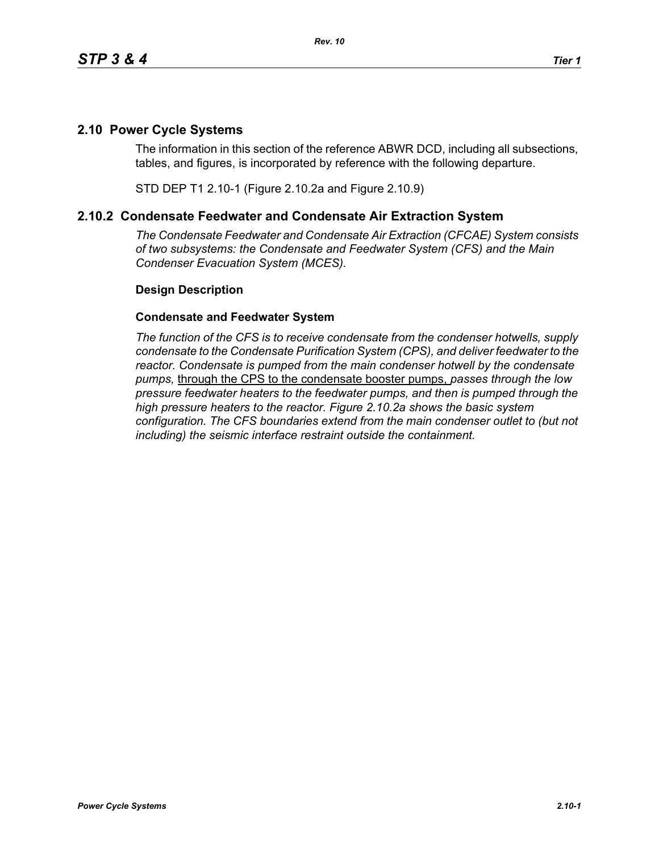## **2.10 Power Cycle Systems**

The information in this section of the reference ABWR DCD, including all subsections, tables, and figures, is incorporated by reference with the following departure.

STD DEP T1 2.10-1 (Figure 2.10.2a and Figure 2.10.9)

## **2.10.2 Condensate Feedwater and Condensate Air Extraction System**

*The Condensate Feedwater and Condensate Air Extraction (CFCAE) System consists of two subsystems: the Condensate and Feedwater System (CFS) and the Main Condenser Evacuation System (MCES).*

## **Design Description**

## **Condensate and Feedwater System**

*The function of the CFS is to receive condensate from the condenser hotwells, supply condensate to the Condensate Purification System (CPS), and deliver feedwater to the reactor. Condensate is pumped from the main condenser hotwell by the condensate pumps,* through the CPS to the condensate booster pumps, *passes through the low pressure feedwater heaters to the feedwater pumps, and then is pumped through the high pressure heaters to the reactor. Figure 2.10.2a shows the basic system configuration. The CFS boundaries extend from the main condenser outlet to (but not including) the seismic interface restraint outside the containment.*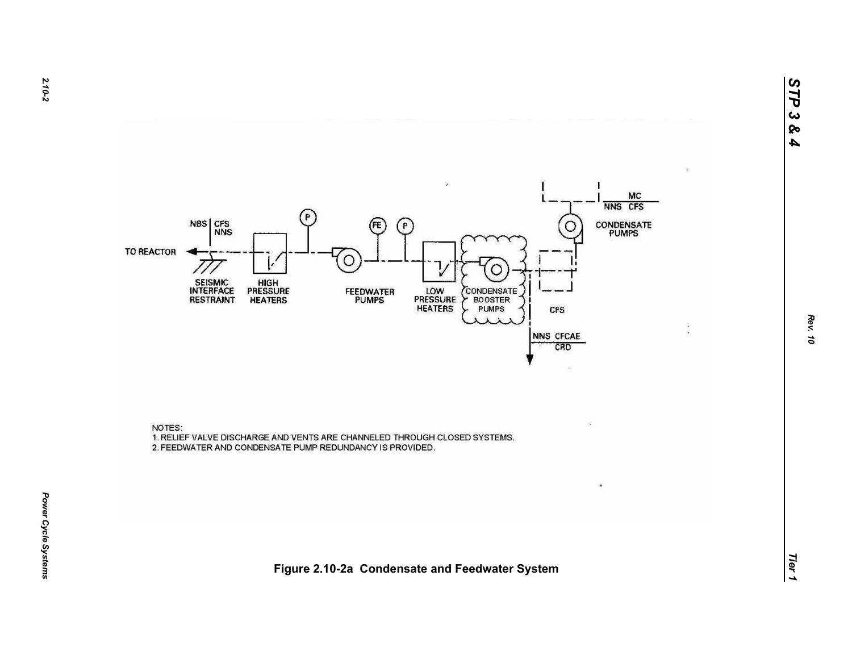

NOTES: 1. RELIEF VALVE DISCHARGE AND VENTS ARE CHANNELED THROUGH CLOSED SYSTEMS. 2. FEEDWATER AND CONDENSATE PUMP REDUNDANCY IS PROVIDED.